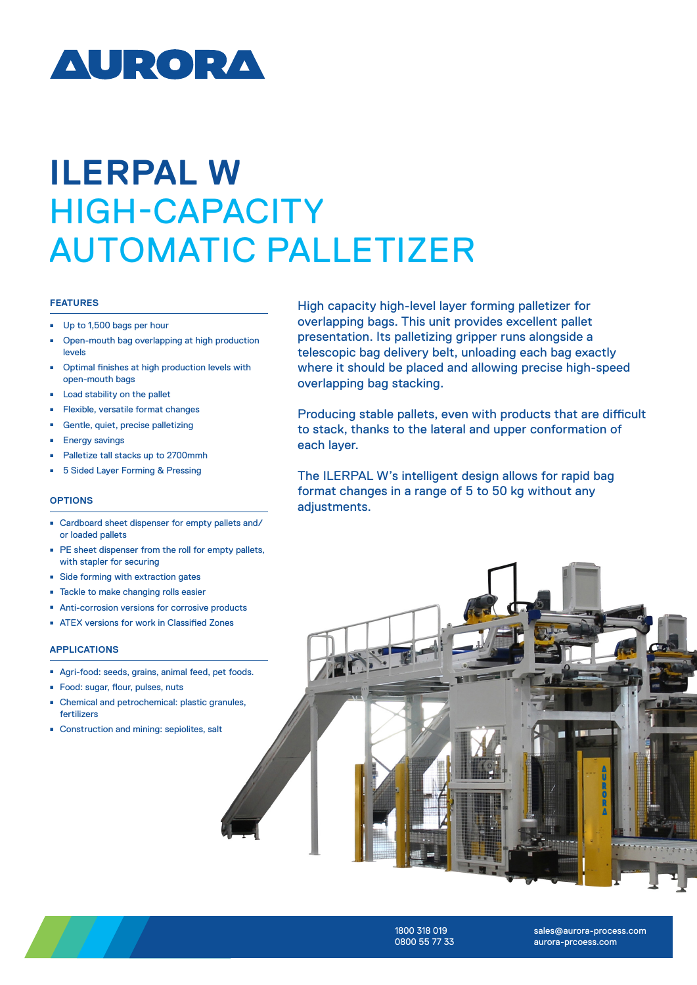

# **ILERPAL W**  HIGH-CAPACITY AUTOMATIC PALLETIZER

#### **FEATURES**

- Up to 1,500 bags per hour
- <sup>ȫ</sup> Open-mouth bag overlapping at high production levels
- <sup>ȫ</sup> Optimal finishes at high production levels with open-mouth bags
- Load stability on the pallet
- <sup>ȫ</sup> Flexible, versatile format changes
- <sup>ȫ</sup> Gentle, quiet, precise palletizing
- Energy savings
- Palletize tall stacks up to 2700mmh
- 5 Sided Layer Forming & Pressing

#### **OPTIONS**

- Cardboard sheet dispenser for empty pallets and/ or loaded pallets
- PE sheet dispenser from the roll for empty pallets, with stapler for securing
- Side forming with extraction gates
- Tackle to make changing rolls easier
- Anti-corrosion versions for corrosive products
- ATEX versions for work in Classified Zones

### **APPLICATIONS**

- <sup>ȫ</sup> Agri-food: seeds, grains, animal feed, pet foods.
- Food: sugar, flour, pulses, nuts
- Chemical and petrochemical: plastic granules, fertilizers
- Construction and mining: sepiolites, salt

High capacity high-level layer forming palletizer for overlapping bags. This unit provides excellent pallet presentation. Its palletizing gripper runs alongside a telescopic bag delivery belt, unloading each bag exactly where it should be placed and allowing precise high-speed overlapping bag stacking.

Producing stable pallets, even with products that are difficult to stack, thanks to the lateral and upper conformation of each layer.

The ILERPAL W's intelligent design allows for rapid bag format changes in a range of 5 to 50 kg without any adiustments.





1800 318 019 0800 55 77 33

sales@aurora-process.com aurora-prcoess.com